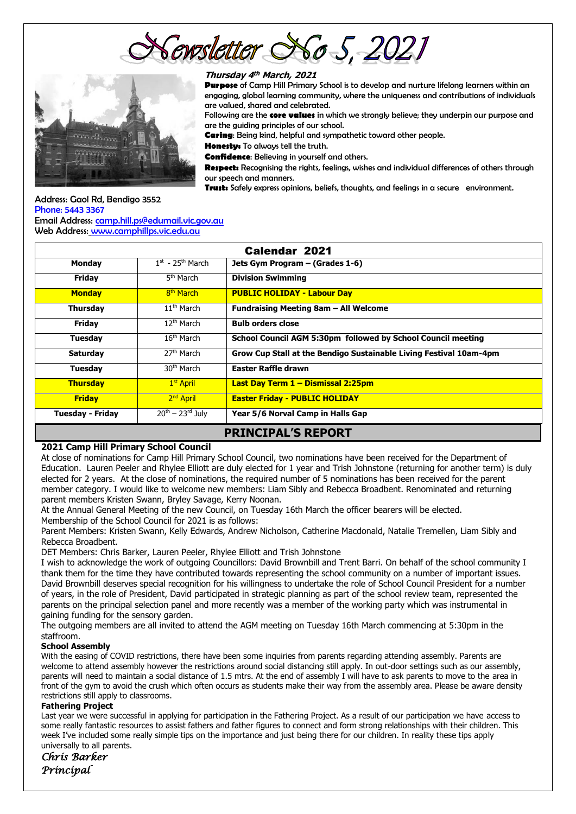cwsletter So 5, 202≀



#### **Thursday 4 th March, 2021**

**Purpose** of Camp Hill Primary School is to develop and nurture lifelong learners within an engaging, global learning community, where the uniqueness and contributions of individuals are valued, shared and celebrated.

Following are the **core values** in which we strongly believe; they underpin our purpose and are the guiding principles of our school.

**Caring**: Being kind, helpful and sympathetic toward other people.

**Honesty:** To always tell the truth.

**Confidence**: Believing in yourself and others.

**Respect:** Recognising the rights, feelings, wishes and individual differences of others through our speech and manners.

**Trust:** Safely express opinions, beliefs, thoughts, and feelings in a secure environment.

#### Address: Gaol Rd, Bendigo 3552 Phone: 5443 3367 Email Address: [camp.hill.ps@edumail.vic.gov.au](mailto:camp.hill.ps@edumail.vic.gov.au)

Web Address: [www.camphillps.vic.edu.au](http://www.camphillps.vic.edu.au/)

| <b>Calendar 2021</b>      |                                |                                                                    |  |  |  |  |
|---------------------------|--------------------------------|--------------------------------------------------------------------|--|--|--|--|
| <b>Monday</b>             | $1st$ - 25 <sup>th</sup> March | Jets Gym Program – (Grades 1-6)                                    |  |  |  |  |
| Friday                    | 5 <sup>th</sup> March          | <b>Division Swimming</b>                                           |  |  |  |  |
| <b>Monday</b>             | 8 <sup>th</sup> March          | <b>PUBLIC HOLIDAY - Labour Day</b>                                 |  |  |  |  |
| <b>Thursday</b>           | $11th$ March                   | Fundraising Meeting 8am - All Welcome                              |  |  |  |  |
| Friday                    | $12th$ March                   | <b>Bulb orders close</b>                                           |  |  |  |  |
| Tuesday                   | $16th$ March                   | School Council AGM 5:30pm followed by School Council meeting       |  |  |  |  |
| <b>Saturday</b>           | 27 <sup>th</sup> March         | Grow Cup Stall at the Bendigo Sustainable Living Festival 10am-4pm |  |  |  |  |
| Tuesday                   | 30 <sup>th</sup> March         | <b>Easter Raffle drawn</b>                                         |  |  |  |  |
| <b>Thursday</b>           | 1 <sup>st</sup> April          | Last Day Term 1 - Dismissal 2:25pm                                 |  |  |  |  |
| <b>Friday</b>             | 2 <sup>nd</sup> April          | <b>Easter Friday - PUBLIC HOLIDAY</b>                              |  |  |  |  |
| <b>Tuesday - Friday</b>   | $20^{th} - 23^{rd}$ July       | Year 5/6 Norval Camp in Halls Gap                                  |  |  |  |  |
| <b>PRINCIPAL'S REPORT</b> |                                |                                                                    |  |  |  |  |

#### **2021 Camp Hill Primary School Council**

At close of nominations for Camp Hill Primary School Council, two nominations have been received for the Department of Education. Lauren Peeler and Rhylee Elliott are duly elected for 1 year and Trish Johnstone (returning for another term) is duly elected for 2 years. At the close of nominations, the required number of 5 nominations has been received for the parent member category. I would like to welcome new members: Liam Sibly and Rebecca Broadbent. Renominated and returning parent members Kristen Swann, Bryley Savage, Kerry Noonan.

At the Annual General Meeting of the new Council, on Tuesday 16th March the officer bearers will be elected. Membership of the School Council for 2021 is as follows:

Parent Members: Kristen Swann, Kelly Edwards, Andrew Nicholson, Catherine Macdonald, Natalie Tremellen, Liam Sibly and Rebecca Broadbent.

DET Members: Chris Barker, Lauren Peeler, Rhylee Elliott and Trish Johnstone

I wish to acknowledge the work of outgoing Councillors: David Brownbill and Trent Barri. On behalf of the school community I thank them for the time they have contributed towards representing the school community on a number of important issues. David Brownbill deserves special recognition for his willingness to undertake the role of School Council President for a number of years, in the role of President, David participated in strategic planning as part of the school review team, represented the parents on the principal selection panel and more recently was a member of the working party which was instrumental in gaining funding for the sensory garden.

The outgoing members are all invited to attend the AGM meeting on Tuesday 16th March commencing at 5:30pm in the staffroom.

#### **School Assembly**

With the easing of COVID restrictions, there have been some inquiries from parents regarding attending assembly. Parents are welcome to attend assembly however the restrictions around social distancing still apply. In out-door settings such as our assembly, parents will need to maintain a social distance of 1.5 mtrs. At the end of assembly I will have to ask parents to move to the area in front of the gym to avoid the crush which often occurs as students make their way from the assembly area. Please be aware density restrictions still apply to classrooms.

#### **Fathering Project**

Last year we were successful in applying for participation in the Fathering Project. As a result of our participation we have access to some really fantastic resources to assist fathers and father figures to connect and form strong relationships with their children. This week I've included some really simple tips on the importance and just being there for our children. In reality these tips apply universally to all parents.

*Chris Barker Principal*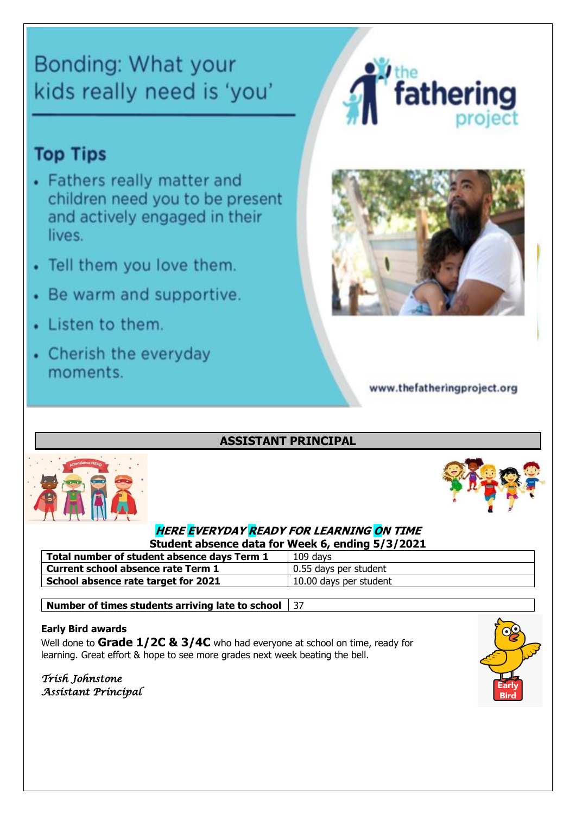# Bonding: What your kids really need is 'you'

# **Top Tips**

- Fathers really matter and children need you to be present and actively engaged in their lives.
- Tell them you love them.
- Be warm and supportive.
- Listen to them.
- Cherish the everyday moments.





www.thefatheringproject.org

# **ASSISTANT PRINCIPAL**





# **HERE EVERYDAY READY FOR LEARNING ON TIME Student absence data for Week 6, ending 5/3/2021**

| Total number of student absence days Term 1 | 109 days               |
|---------------------------------------------|------------------------|
| Current school absence rate Term 1          | 0.55 days per student  |
| School absence rate target for 2021         | 10.00 days per student |
|                                             |                        |

**Number of times students arriving late to school** 37

# **Early Bird awards**

Well done to **Grade 1/2C & 3/4C** who had everyone at school on time, ready for learning. Great effort & hope to see more grades next week beating the bell.

*Trish Johnstone Assistant Principal* 

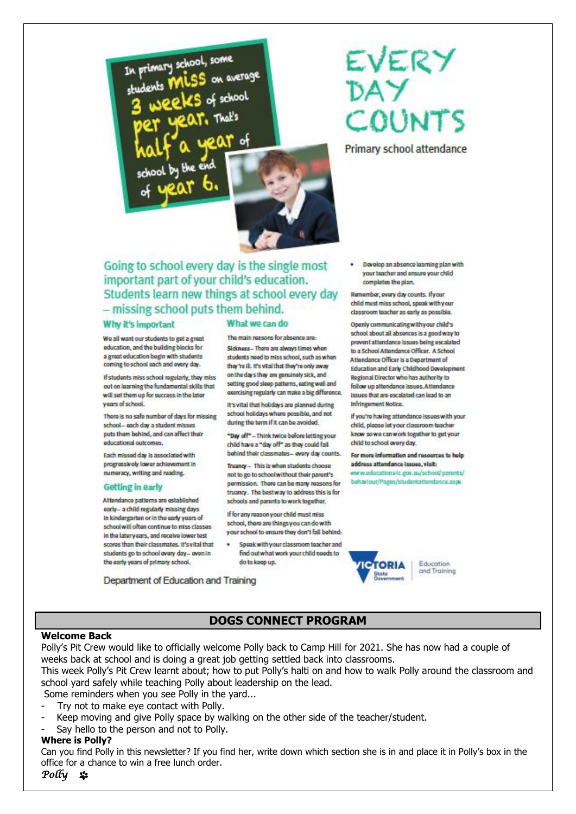

# EVERY DAY COUNTS

Primary school attendance

# Going to school every day is the single most important part of your child's education. Students learn new things at school every day - missing school puts them behind.

#### Why it's important

We all want our students to get a great education, and the building blocks for a great education begin with students coming to school each and every day.

If students miss school regularly, they miss out on learning the fundamental skills that will set them up for success in the later years of school.

There is no safe number of days for missing school- each day a student misses puts them behind, and can affect their educational outcomes.

Each missed day is associated with progressively lower achievement in numeracy, writing and reading.

#### **Getting in early**

Attendance patterns are established early- a child regularly missing days in kindergarten or in the early years of school will often continue to miss classes in the latery ears, and receive lower test scores than their classmates. It's vital that students go to school every day- even in the early years of primary school.

Department of Education and Training

#### What we can do

The main reasons for absence are-Sickness - There are always times when students need to miss school, such as when they're ill. It's vital that they're only away on the days they are genuinely sick, and setting good sleep patterns, eating well and exercising regularly can make a big difference.

It's vital that holidays are planned during school holidays where possible, and not during the term if it can be avoided.

"Day off"-Think twice before letting your child have a "day off" as they could fall behind their classmates- every day counts.

Truancy - This is when students choose not to go to schoolwithout their parent's permission. There can be many reasons for truancy. The bestway to address this is for schools and parents to work together.

If for any reason your child must miss school, there are things you can do with your school to ensure they don't fall behind:

Speak with your classroom teacher and ٠ find out what work your child needs to do to keep up.

· Develop an absence learning plan with your teacher and ensure your child completes the plan.

Remember, every day counts. If your child must miss school, speak with your classroom teacher as early as possible.

Openly communicating with your child's school about all absences is a good way to provent attendance issues being escalated to a School Attendance Officer, A School Attendance Officer is a Department of Education and Early Childhood Davelopment. Regional Director who has authority to follow up attendance issues. Attendance issues that are escalated can lead to an Infringement Notice.

If you're having attendance issues with your child, please let your classroom teacher know so we can work together to get your child to school overy day.

For more information and resources to help address attendance issues, visit:

www.oducations/ic.gov.au/school/parents/ behaviour/Pages/studentattendance.aspx

TOPIA

Education

and Training

# **DOGS CONNECT PROGRAM**

#### **Welcome Back**

Polly's Pit Crew would like to officially welcome Polly back to Camp Hill for 2021. She has now had a couple of weeks back at school and is doing a great job getting settled back into classrooms.

This week Polly's Pit Crew learnt about; how to put Polly's halti on and how to walk Polly around the classroom and school yard safely while teaching Polly about leadership on the lead.

Some reminders when you see Polly in the yard...

- Try not to make eye contact with Polly.
- Keep moving and give Polly space by walking on the other side of the teacher/student.
- Say hello to the person and not to Polly.

#### **Where is Polly?**

Can you find Polly in this newsletter? If you find her, write down which section she is in and place it in Polly's box in the office for a chance to win a free lunch order.

*Polly*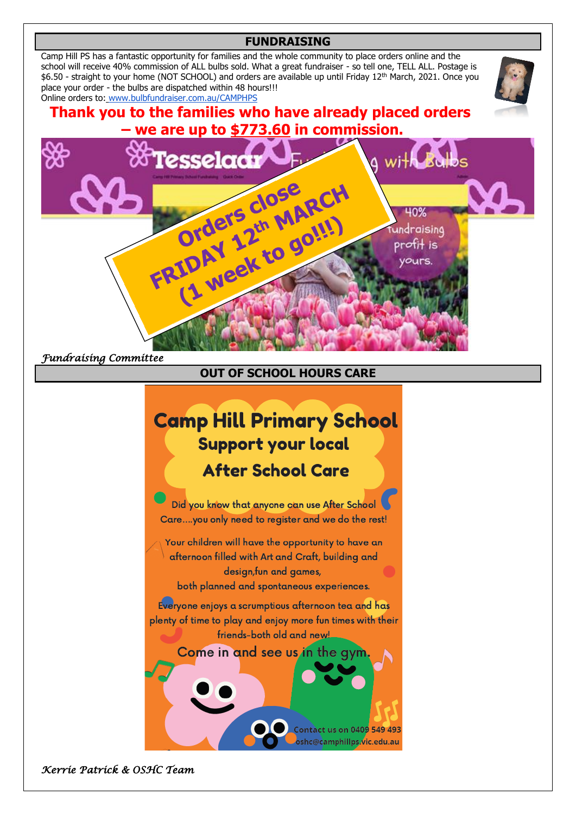## **FUNDRAISING**

Camp Hill PS has a fantastic opportunity for families and the whole community to place orders online and the school will receive 40% commission of ALL bulbs sold. What a great fundraiser - so tell one, TELL ALL. Postage is \$6.50 - straight to your home (NOT SCHOOL) and orders are available up until Friday 12th March, 2021. Once you place your order - the bulbs are dispatched within 48 hours!!! Online orders to: [www.bulbfundraiser.com.au/CAMPHPS](http://www.bulbfundraiser.com.au/CAMPHPS)



# **Thank you to the families who have already placed orders – we are up to \$773.60 in commission.**



*Fundraising Committee*

**OUT OF SCHOOL HOURS CARE**

# **Camp Hill Primary School Support your local After School Care**

Did you know that anyone can use After School Care....you only need to register and we do the rest!

Your children will have the opportunity to have an afternoon filled with Art and Craft, building and design, fun and games, both planned and spontaneous experiences.

Everyone enjoys a scrumptious afternoon tea and has plenty of time to play and enjoy more fun times with their friends-both old and new!

# Come in and see us in the gy

Contact us on 040<mark>9 549 493</mark> oshc@camphillps.vic.edu.au

*Kerrie Patrick & OSHC Team*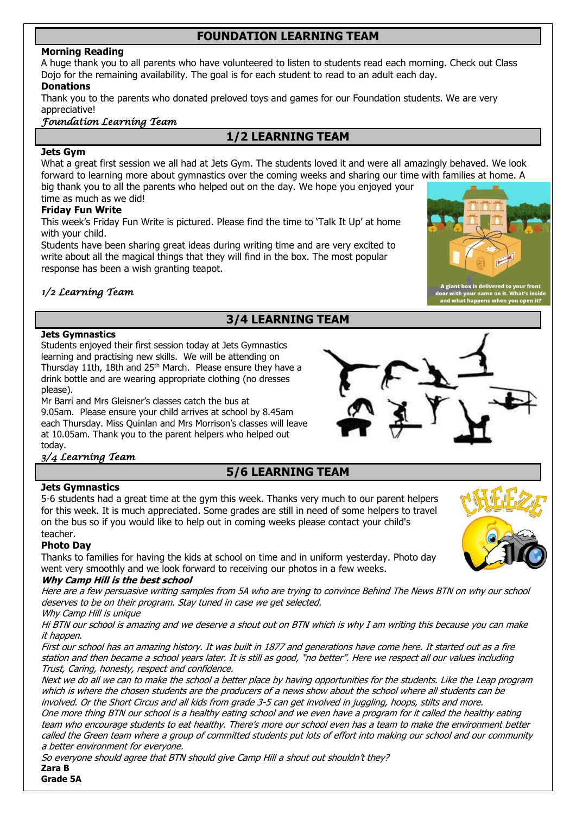# **FOUNDATION LEARNING TEAM**

## **Morning Reading**

A huge thank you to all parents who have volunteered to listen to students read each morning. Check out Class Dojo for the remaining availability. The goal is for each student to read to an adult each day.

## **Donations**

Thank you to the parents who donated preloved toys and games for our Foundation students. We are very appreciative!

# *Foundation Learning Team*

# **1/2 LEARNING TEAM**

# **Jets Gym**

What a great first session we all had at Jets Gym. The students loved it and were all amazingly behaved. We look forward to learning more about gymnastics over the coming weeks and sharing our time with families at home. A big thank you to all the parents who helped out on the day. We hope you enjoyed your time as much as we did!

# **Friday Fun Write**

This week's Friday Fun Write is pictured. Please find the time to 'Talk It Up' at home with your child.

Students have been sharing great ideas during writing time and are very excited to write about all the magical things that they will find in the box. The most popular response has been a wish granting teapot.



# *1/2 Learning Team*

# **3/4 LEARNING TEAM**

## **Jets Gymnastics**

Students enjoyed their first session today at Jets Gymnastics learning and practising new skills. We will be attending on Thursday 11th, 18th and 25<sup>th</sup> March. Please ensure they have a drink bottle and are wearing appropriate clothing (no dresses please).

Mr Barri and Mrs Gleisner's classes catch the bus at 9.05am. Please ensure your child arrives at school by 8.45am each Thursday. Miss Quinlan and Mrs Morrison's classes will leave at 10.05am. Thank you to the parent helpers who helped out today.

# *3/4 Learning Team*

# **5/6 LEARNING TEAM**

## **Jets Gymnastics**

5-6 students had a great time at the gym this week. Thanks very much to our parent helpers for this week. It is much appreciated. Some grades are still in need of some helpers to travel on the bus so if you would like to help out in coming weeks please contact your child's teacher.

#### **Photo Day**

Thanks to families for having the kids at school on time and in uniform yesterday. Photo day went very smoothly and we look forward to receiving our photos in a few weeks.

#### **Why Camp Hill is the best school**

Here are a few persuasive writing samples from 5A who are trying to convince Behind The News BTN on why our school deserves to be on their program. Stay tuned in case we get selected.

Why Camp Hill is unique

Hi BTN our school is amazing and we deserve a shout out on BTN which is why I am writing this because you can make it happen.

First our school has an amazing history. It was built in 1877 and generations have come here. It started out as a fire station and then became a school years later. It is still as good, "no better". Here we respect all our values including Trust, Caring, honesty, respect and confidence.

Next we do all we can to make the school a better place by having opportunities for the students. Like the Leap program which is where the chosen students are the producers of a news show about the school where all students can be involved. Or the Short Circus and all kids from grade 3-5 can get involved in juggling, hoops, stilts and more.

One more thing BTN our school is a healthy eating school and we even have a program for it called the healthy eating team who encourage students to eat healthy. There's more our school even has a team to make the environment better called the Green team where a group of committed students put lots of effort into making our school and our community a better environment for everyone.

So everyone should agree that BTN should give Camp Hill a shout out shouldn't they?

**Zara B Grade 5A**

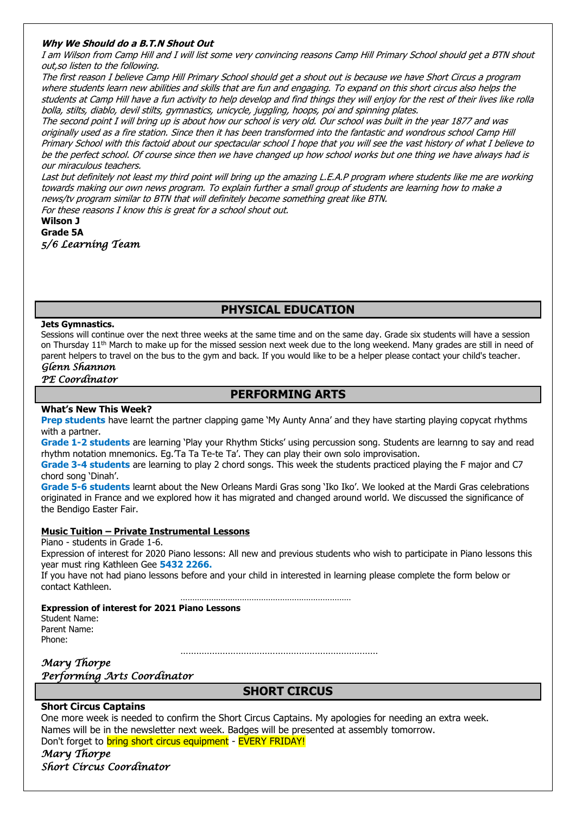#### **Why We Should do a B.T.N Shout Out**

I am Wilson from Camp Hill and I will list some very convincing reasons Camp Hill Primary School should get a BTN shout out,so listen to the following.

The first reason I believe Camp Hill Primary School should get a shout out is because we have Short Circus a program where students learn new abilities and skills that are fun and engaging. To expand on this short circus also helps the students at Camp Hill have a fun activity to help develop and find things they will enjoy for the rest of their lives like rolla bolla, stilts, diablo, devil stilts, gymnastics, unicycle, juggling, hoops, poi and spinning plates.

The second point I will bring up is about how our school is very old. Our school was built in the year 1877 and was originally used as a fire station. Since then it has been transformed into the fantastic and wondrous school Camp Hill Primary School with this factoid about our spectacular school I hope that you will see the vast history of what I believe to be the perfect school. Of course since then we have changed up how school works but one thing we have always had is our miraculous teachers.

Last but definitely not least my third point will bring up the amazing L.E.A.P program where students like me are working towards making our own news program. To explain further a small group of students are learning how to make a news/tv program similar to BTN that will definitely become something great like BTN.

For these reasons I know this is great for a school shout out.

#### **Wilson J Grade 5A** *5/6 Learning Team*

# **PHYSICAL EDUCATION**

#### **Jets Gymnastics.**

Sessions will continue over the next three weeks at the same time and on the same day. Grade six students will have a session on Thursday 11<sup>th</sup> March to make up for the missed session next week due to the long weekend. Many grades are still in need of parent helpers to travel on the bus to the gym and back. If you would like to be a helper please contact your child's teacher.

#### *Glenn Shannon*

*PE Coordinator* 

# **PERFORMING ARTS**

#### **What's New This Week?**

**Prep students** have learnt the partner clapping game 'My Aunty Anna' and they have starting playing copycat rhythms with a partner.

**Grade 1-2 students** are learning 'Play your Rhythm Sticks' using percussion song. Students are learnng to say and read rhythm notation mnemonics. Eg.'Ta Ta Te-te Ta'. They can play their own solo improvisation.

**Grade 3-4 students** are learning to play 2 chord songs. This week the students practiced playing the F major and C7 chord song 'Dinah'.

**Grade 5-6 students** learnt about the New Orleans Mardi Gras song 'Iko Iko'. We looked at the Mardi Gras celebrations originated in France and we explored how it has migrated and changed around world. We discussed the significance of the Bendigo Easter Fair.

#### **Music Tuition – Private Instrumental Lessons**

Piano - students in Grade 1-6.

Expression of interest for 2020 Piano lessons: All new and previous students who wish to participate in Piano lessons this year must ring Kathleen Gee **5432 2266.**

If you have not had piano lessons before and your child in interested in learning please complete the form below or contact Kathleen.

……………………………………………………………… **Expression of interest for 2021 Piano Lessons**

Student Name: Parent Name: Phone:

…………………………………………………………………

*Mary Thorpe Performing Arts Coordinator* 

**SHORT CIRCUS**

## **Short Circus Captains**

One more week is needed to confirm the Short Circus Captains. My apologies for needing an extra week. Names will be in the newsletter next week. Badges will be presented at assembly tomorrow. Don't forget to bring short circus equipment - EVERY FRIDAY!

*Mary Thorpe Short Circus Coordinator*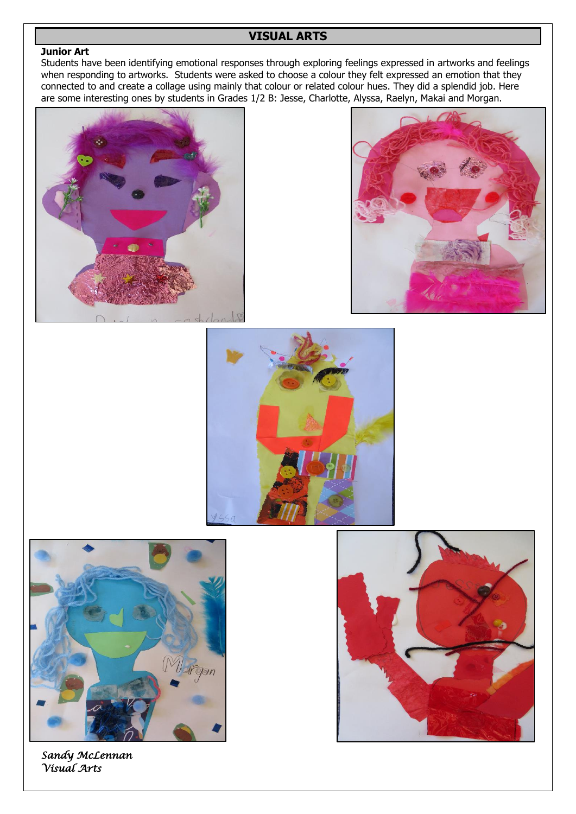# **VISUAL ARTS**

## **Junior Art**

Students have been identifying emotional responses through exploring feelings expressed in artworks and feelings when responding to artworks. Students were asked to choose a colour they felt expressed an emotion that they connected to and create a collage using mainly that colour or related colour hues. They did a splendid job. Here are some interesting ones by students in Grades 1/2 B: Jesse, Charlotte, Alyssa, Raelyn, Makai and Morgan.









*Sandy McLennan Visual Arts* 

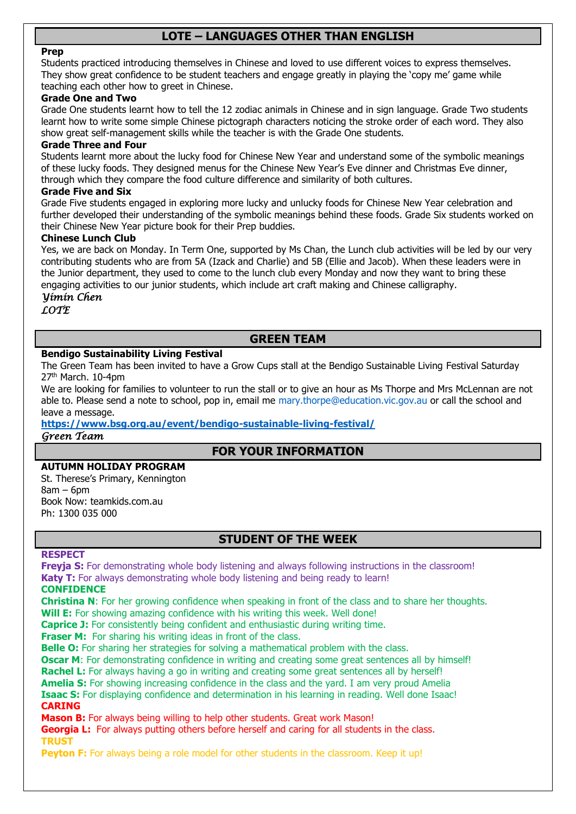# **LOTE – LANGUAGES OTHER THAN ENGLISH**

#### **Prep**

Students practiced introducing themselves in Chinese and loved to use different voices to express themselves. They show great confidence to be student teachers and engage greatly in playing the 'copy me' game while teaching each other how to greet in Chinese.

#### **Grade One and Two**

Grade One students learnt how to tell the 12 zodiac animals in Chinese and in sign language. Grade Two students learnt how to write some simple Chinese pictograph characters noticing the stroke order of each word. They also show great self-management skills while the teacher is with the Grade One students.

#### **Grade Three and Four**

Students learnt more about the lucky food for Chinese New Year and understand some of the symbolic meanings of these lucky foods. They designed menus for the Chinese New Year's Eve dinner and Christmas Eve dinner, through which they compare the food culture difference and similarity of both cultures.

#### **Grade Five and Six**

Grade Five students engaged in exploring more lucky and unlucky foods for Chinese New Year celebration and further developed their understanding of the symbolic meanings behind these foods. Grade Six students worked on their Chinese New Year picture book for their Prep buddies.

### **Chinese Lunch Club**

Yes, we are back on Monday. In Term One, supported by Ms Chan, the Lunch club activities will be led by our very contributing students who are from 5A (Izack and Charlie) and 5B (Ellie and Jacob). When these leaders were in the Junior department, they used to come to the lunch club every Monday and now they want to bring these engaging activities to our junior students, which include art craft making and Chinese calligraphy.

# *Yimin Chen*

*LOTE*

# **GREEN TEAM**

## **Bendigo Sustainability Living Festival**

The Green Team has been invited to have a Grow Cups stall at the Bendigo Sustainable Living Festival Saturday 27th March. 10-4pm

We are looking for families to volunteer to run the stall or to give an hour as Ms Thorpe and Mrs McLennan are not able to. Please send a note to school, pop in, email me mary.thorpe@education.vic.gov.au or call the school and leave a message.

**<https://www.bsg.org.au/event/bendigo-sustainable-living-festival/>** *Green Team* 

# **FOR YOUR INFORMATION**

### **AUTUMN HOLIDAY PROGRAM**

St. Therese's Primary, Kennington  $8am - 6dm$ Book Now: teamkids.com.au Ph: 1300 035 000

# **STUDENT OF THE WEEK**

#### **RESPECT**

**Freyja S:** For demonstrating whole body listening and always following instructions in the classroom! **Katy T:** For always demonstrating whole body listening and being ready to learn!

#### **CONFIDENCE**

**Christina N**: For her growing confidence when speaking in front of the class and to share her thoughts. **Will E:** For showing amazing confidence with his writing this week. Well done!

**Caprice J:** For consistently being confident and enthusiastic during writing time.

**Fraser M:** For sharing his writing ideas in front of the class.

**Belle O:** For sharing her strategies for solving a mathematical problem with the class.

**Oscar M:** For demonstrating confidence in writing and creating some great sentences all by himself!

**Rachel L:** For always having a go in writing and creating some great sentences all by herself!

**Amelia S:** For showing increasing confidence in the class and the yard. I am very proud Amelia

**Isaac S:** For displaying confidence and determination in his learning in reading. Well done Isaac! **CARING**

**Mason B:** For always being willing to help other students. Great work Mason!

**Georgia L:** For always putting others before herself and caring for all students in the class. **TRUST**

**Peyton F:** For always being a role model for other students in the classroom. Keep it up!